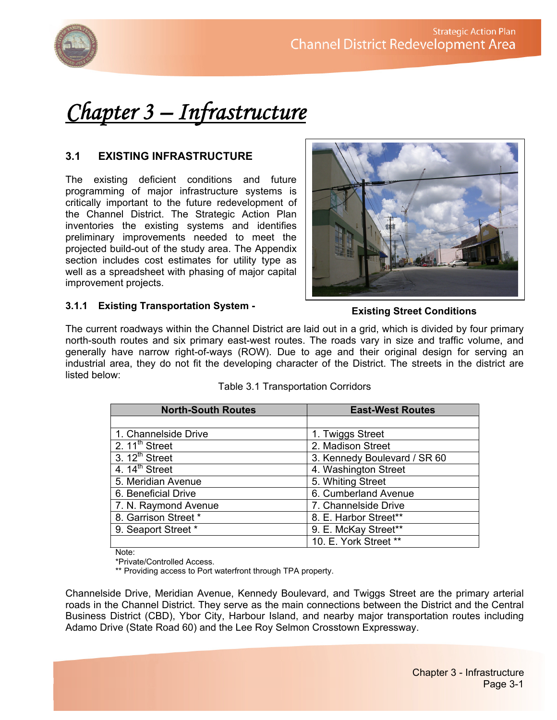

# *Chapter 3 – Infrastructure*

# **3.1 EXISTING INFRASTRUCTURE**

The existing deficient conditions and future programming of major infrastructure systems is critically important to the future redevelopment of the Channel District. The Strategic Action Plan inventories the existing systems and identifies preliminary improvements needed to meet the projected build-out of the study area. The Appendix section includes cost estimates for utility type as well as a spreadsheet with phasing of major capital improvement projects.



#### **3.1.1 Existing Transportation System -**

#### **Existing Street Conditions**

The current roadways within the Channel District are laid out in a grid, which is divided by four primary north-south routes and six primary east-west routes. The roads vary in size and traffic volume, and generally have narrow right-of-ways (ROW). Due to age and their original design for serving an industrial area, they do not fit the developing character of the District. The streets in the district are listed below:

| <b>North-South Routes</b> | <b>East-West Routes</b>      |
|---------------------------|------------------------------|
|                           |                              |
| 1. Channelside Drive      | 1. Twiggs Street             |
| 2. $11^{th}$ Street       | 2. Madison Street            |
| $3.12th$ Street           | 3. Kennedy Boulevard / SR 60 |
| 4. $14th$ Street          | 4. Washington Street         |
| 5. Meridian Avenue        | 5. Whiting Street            |
| 6. Beneficial Drive       | 6. Cumberland Avenue         |
| 7. N. Raymond Avenue      | 7. Channelside Drive         |
| 8. Garrison Street *      | 8. E. Harbor Street**        |
| 9. Seaport Street *       | 9. E. McKay Street**         |
|                           | 10. E. York Street **        |

Table 3.1 Transportation Corridors

Note:

\*Private/Controlled Access.

\*\* Providing access to Port waterfront through TPA property.

Channelside Drive, Meridian Avenue, Kennedy Boulevard, and Twiggs Street are the primary arterial roads in the Channel District. They serve as the main connections between the District and the Central Business District (CBD), Ybor City, Harbour Island, and nearby major transportation routes including Adamo Drive (State Road 60) and the Lee Roy Selmon Crosstown Expressway.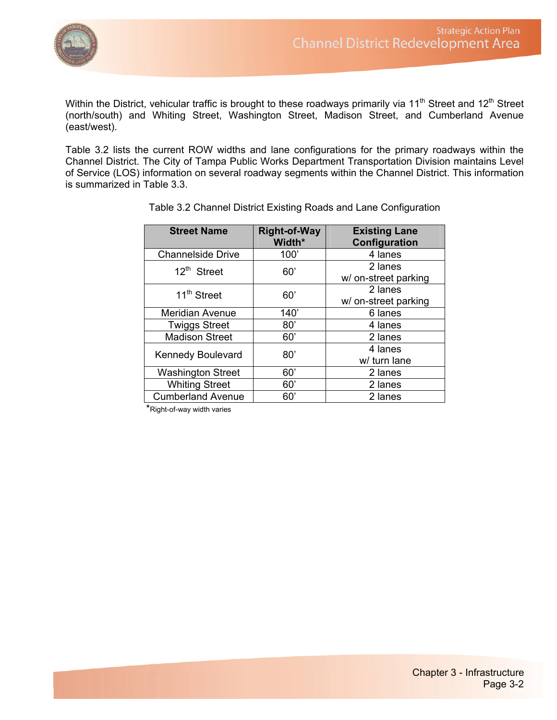

Within the District, vehicular traffic is brought to these roadways primarily via 11<sup>th</sup> Street and 12<sup>th</sup> Street (north/south) and Whiting Street, Washington Street, Madison Street, and Cumberland Avenue (east/west).

Table 3.2 lists the current ROW widths and lane configurations for the primary roadways within the Channel District. The City of Tampa Public Works Department Transportation Division maintains Level of Service (LOS) information on several roadway segments within the Channel District. This information is summarized in Table 3.3.

| <b>Street Name</b>       | <b>Right-of-Way</b><br>Width* | <b>Existing Lane</b><br>Configuration |
|--------------------------|-------------------------------|---------------------------------------|
| <b>Channelside Drive</b> | 100'                          | 4 lanes                               |
| $12th$ Street            | 60'                           | 2 lanes<br>w/ on-street parking       |
| 11 <sup>th</sup> Street  | 60'                           | 2 lanes<br>w/ on-street parking       |
| <b>Meridian Avenue</b>   | 140'                          | 6 lanes                               |
| <b>Twiggs Street</b>     | 80'                           | 4 lanes                               |
| <b>Madison Street</b>    | 60'                           | 2 lanes                               |
| <b>Kennedy Boulevard</b> | 80'                           | 4 lanes<br>w/ turn lane               |
| <b>Washington Street</b> | 60'                           | 2 lanes                               |
| <b>Whiting Street</b>    | 60'                           | 2 lanes                               |
| <b>Cumberland Avenue</b> | 60'                           | 2 lanes                               |

Table 3.2 Channel District Existing Roads and Lane Configuration

\*Right-of-way width varies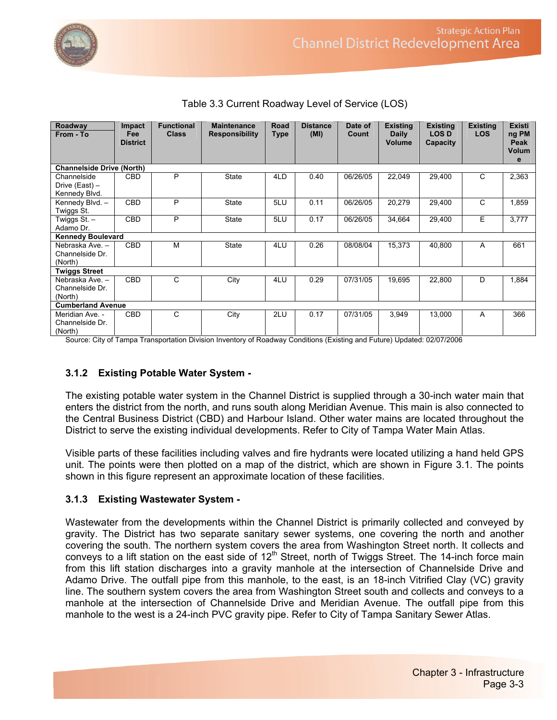

| Roadway                          | Impact                   | <b>Functional</b> | <b>Maintenance</b>    | Road | <b>Distance</b> | Date of  | <b>Existing</b> | <b>Existing</b> | <b>Existing</b> | <b>Existi</b> |
|----------------------------------|--------------------------|-------------------|-----------------------|------|-----------------|----------|-----------------|-----------------|-----------------|---------------|
| From - To                        | Fee                      | <b>Class</b>      | <b>Responsibility</b> | Type | (MI)            | Count    | <b>Daily</b>    | <b>LOSD</b>     | <b>LOS</b>      | ng PM         |
|                                  | <b>District</b>          |                   |                       |      |                 |          | <b>Volume</b>   | Capacity        |                 | Peak          |
|                                  |                          |                   |                       |      |                 |          |                 |                 |                 | <b>Volum</b>  |
|                                  |                          |                   |                       |      |                 |          |                 |                 |                 | e             |
| <b>Channelside Drive (North)</b> |                          |                   |                       |      |                 |          |                 |                 |                 |               |
| Channelside                      | <b>CBD</b>               | P                 | <b>State</b>          | 4LD  | 0.40            | 06/26/05 | 22,049          | 29,400          | C               | 2,363         |
| Drive (East) -                   |                          |                   |                       |      |                 |          |                 |                 |                 |               |
| Kennedy Blvd.                    |                          |                   |                       |      |                 |          |                 |                 |                 |               |
| Kennedy Blvd. -                  | CBD                      | P                 | State                 | 5LU  | 0.11            | 06/26/05 | 20,279          | 29,400          | C               | 1,859         |
| Twiggs St.                       |                          |                   |                       |      |                 |          |                 |                 |                 |               |
| Twiggs St. –                     | <b>CBD</b>               | P                 | State                 | 5LU  | 0.17            | 06/26/05 | 34,664          | 29,400          | E               | 3,777         |
| Adamo Dr.                        |                          |                   |                       |      |                 |          |                 |                 |                 |               |
|                                  | <b>Kennedy Boulevard</b> |                   |                       |      |                 |          |                 |                 |                 |               |
| Nebraska Ave. -                  | <b>CBD</b>               | M                 | <b>State</b>          | 4LU  | 0.26            | 08/08/04 | 15,373          | 40,800          | A               | 661           |
| Channelside Dr.                  |                          |                   |                       |      |                 |          |                 |                 |                 |               |
| (North)                          |                          |                   |                       |      |                 |          |                 |                 |                 |               |
| <b>Twiggs Street</b>             |                          |                   |                       |      |                 |          |                 |                 |                 |               |
| Nebraska Ave. -                  | <b>CBD</b>               | C                 | City                  | 4LU  | 0.29            | 07/31/05 | 19,695          | 22,800          | D               | 1,884         |
| Channelside Dr.                  |                          |                   |                       |      |                 |          |                 |                 |                 |               |
| (North)                          |                          |                   |                       |      |                 |          |                 |                 |                 |               |
| <b>Cumberland Avenue</b>         |                          |                   |                       |      |                 |          |                 |                 |                 |               |
| Meridian Ave. -                  | <b>CBD</b>               | C                 | City                  | 2LU  | 0.17            | 07/31/05 | 3,949           | 13,000          | A               | 366           |
| Channelside Dr.                  |                          |                   |                       |      |                 |          |                 |                 |                 |               |
| (North)                          |                          |                   |                       |      |                 |          |                 |                 |                 |               |

Table 3.3 Current Roadway Level of Service (LOS)

Source: City of Tampa Transportation Division Inventory of Roadway Conditions (Existing and Future) Updated: 02/07/2006

#### **3.1.2 Existing Potable Water System -**

The existing potable water system in the Channel District is supplied through a 30-inch water main that enters the district from the north, and runs south along Meridian Avenue. This main is also connected to the Central Business District (CBD) and Harbour Island. Other water mains are located throughout the District to serve the existing individual developments. Refer to City of Tampa Water Main Atlas.

Visible parts of these facilities including valves and fire hydrants were located utilizing a hand held GPS unit. The points were then plotted on a map of the district, which are shown in Figure 3.1. The points shown in this figure represent an approximate location of these facilities.

#### **3.1.3 Existing Wastewater System -**

Wastewater from the developments within the Channel District is primarily collected and conveyed by gravity. The District has two separate sanitary sewer systems, one covering the north and another covering the south. The northern system covers the area from Washington Street north. It collects and conveys to a lift station on the east side of 12<sup>th</sup> Street, north of Twiggs Street. The 14-inch force main from this lift station discharges into a gravity manhole at the intersection of Channelside Drive and Adamo Drive. The outfall pipe from this manhole, to the east, is an 18-inch Vitrified Clay (VC) gravity line. The southern system covers the area from Washington Street south and collects and conveys to a manhole at the intersection of Channelside Drive and Meridian Avenue. The outfall pipe from this manhole to the west is a 24-inch PVC gravity pipe. Refer to City of Tampa Sanitary Sewer Atlas.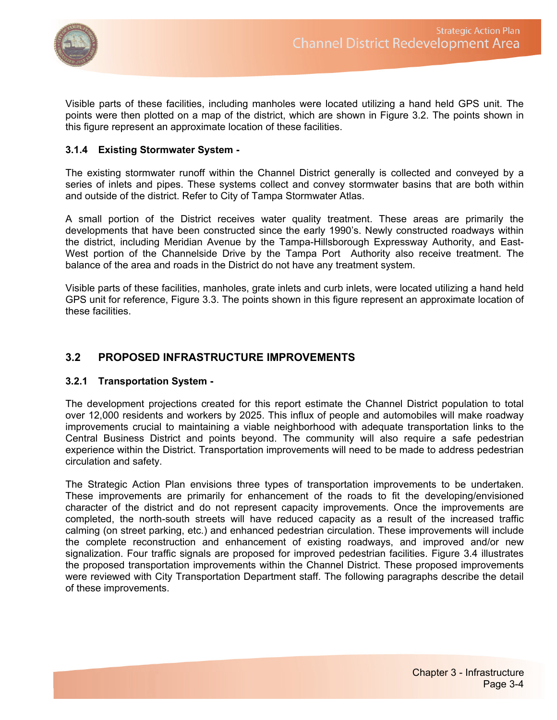

Visible parts of these facilities, including manholes were located utilizing a hand held GPS unit. The points were then plotted on a map of the district, which are shown in Figure 3.2. The points shown in this figure represent an approximate location of these facilities.

#### **3.1.4 Existing Stormwater System -**

The existing stormwater runoff within the Channel District generally is collected and conveyed by a series of inlets and pipes. These systems collect and convey stormwater basins that are both within and outside of the district. Refer to City of Tampa Stormwater Atlas.

A small portion of the District receives water quality treatment. These areas are primarily the developments that have been constructed since the early 1990's. Newly constructed roadways within the district, including Meridian Avenue by the Tampa-Hillsborough Expressway Authority, and East-West portion of the Channelside Drive by the Tampa Port Authority also receive treatment. The balance of the area and roads in the District do not have any treatment system.

Visible parts of these facilities, manholes, grate inlets and curb inlets, were located utilizing a hand held GPS unit for reference, Figure 3.3. The points shown in this figure represent an approximate location of these facilities.

# **3.2 PROPOSED INFRASTRUCTURE IMPROVEMENTS**

#### **3.2.1 Transportation System -**

The development projections created for this report estimate the Channel District population to total over 12,000 residents and workers by 2025. This influx of people and automobiles will make roadway improvements crucial to maintaining a viable neighborhood with adequate transportation links to the Central Business District and points beyond. The community will also require a safe pedestrian experience within the District. Transportation improvements will need to be made to address pedestrian circulation and safety.

The Strategic Action Plan envisions three types of transportation improvements to be undertaken. These improvements are primarily for enhancement of the roads to fit the developing/envisioned character of the district and do not represent capacity improvements. Once the improvements are completed, the north-south streets will have reduced capacity as a result of the increased traffic calming (on street parking, etc.) and enhanced pedestrian circulation. These improvements will include the complete reconstruction and enhancement of existing roadways, and improved and/or new signalization. Four traffic signals are proposed for improved pedestrian facilities. Figure 3.4 illustrates the proposed transportation improvements within the Channel District. These proposed improvements were reviewed with City Transportation Department staff. The following paragraphs describe the detail of these improvements.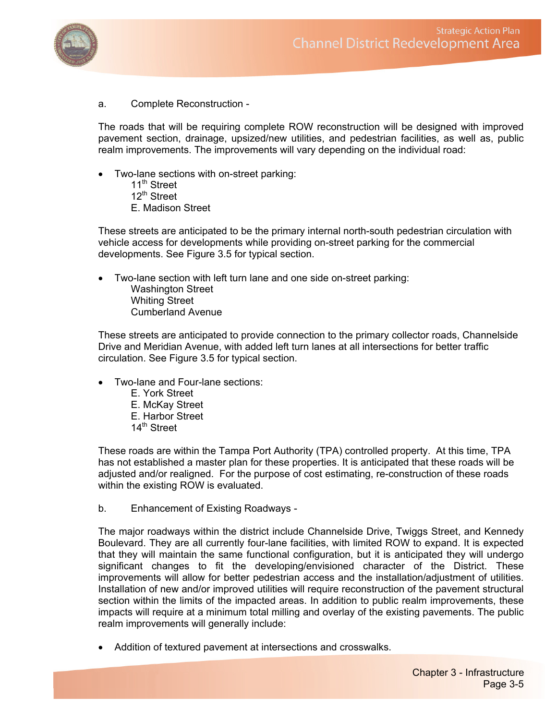

a. Complete Reconstruction -

The roads that will be requiring complete ROW reconstruction will be designed with improved pavement section, drainage, upsized/new utilities, and pedestrian facilities, as well as, public realm improvements. The improvements will vary depending on the individual road:

- Two-lane sections with on-street parking:
	- 11<sup>th</sup> Street 12<sup>th</sup> Street E. Madison Street

These streets are anticipated to be the primary internal north-south pedestrian circulation with vehicle access for developments while providing on-street parking for the commercial developments. See Figure 3.5 for typical section.

• Two-lane section with left turn lane and one side on-street parking: Washington Street Whiting Street Cumberland Avenue

These streets are anticipated to provide connection to the primary collector roads, Channelside Drive and Meridian Avenue, with added left turn lanes at all intersections for better traffic circulation. See Figure 3.5 for typical section.

- Two-lane and Four-lane sections:
	- E. York Street E. McKay Street E. Harbor Street 14th Street

These roads are within the Tampa Port Authority (TPA) controlled property. At this time, TPA has not established a master plan for these properties. It is anticipated that these roads will be adjusted and/or realigned. For the purpose of cost estimating, re-construction of these roads within the existing ROW is evaluated.

b. Enhancement of Existing Roadways -

The major roadways within the district include Channelside Drive, Twiggs Street, and Kennedy Boulevard. They are all currently four-lane facilities, with limited ROW to expand. It is expected that they will maintain the same functional configuration, but it is anticipated they will undergo significant changes to fit the developing/envisioned character of the District. These improvements will allow for better pedestrian access and the installation/adjustment of utilities. Installation of new and/or improved utilities will require reconstruction of the pavement structural section within the limits of the impacted areas. In addition to public realm improvements, these impacts will require at a minimum total milling and overlay of the existing pavements. The public realm improvements will generally include:

• Addition of textured pavement at intersections and crosswalks.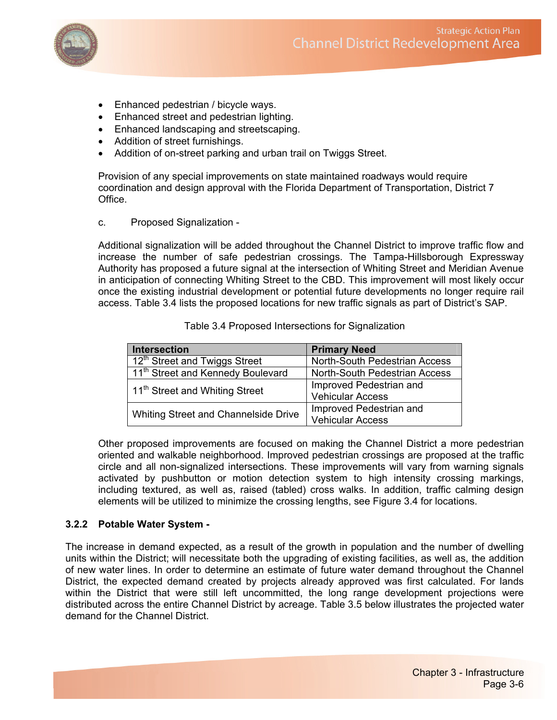

- Enhanced pedestrian / bicycle ways.
- Enhanced street and pedestrian lighting.
- Enhanced landscaping and streetscaping.
- Addition of street furnishings.
- Addition of on-street parking and urban trail on Twiggs Street.

Provision of any special improvements on state maintained roadways would require coordination and design approval with the Florida Department of Transportation, District 7 Office.

c. Proposed Signalization -

Additional signalization will be added throughout the Channel District to improve traffic flow and increase the number of safe pedestrian crossings. The Tampa-Hillsborough Expressway Authority has proposed a future signal at the intersection of Whiting Street and Meridian Avenue in anticipation of connecting Whiting Street to the CBD. This improvement will most likely occur once the existing industrial development or potential future developments no longer require rail access. Table 3.4 lists the proposed locations for new traffic signals as part of District's SAP.

| <b>Intersection</b>                           | <b>Primary Need</b>                  |  |
|-----------------------------------------------|--------------------------------------|--|
| 12 <sup>th</sup> Street and Twiggs Street     | North-South Pedestrian Access        |  |
| 11 <sup>th</sup> Street and Kennedy Boulevard | <b>North-South Pedestrian Access</b> |  |
| 11 <sup>th</sup> Street and Whiting Street    | Improved Pedestrian and              |  |
|                                               | <b>Vehicular Access</b>              |  |
| Whiting Street and Channelside Drive          | Improved Pedestrian and              |  |
|                                               | <b>Vehicular Access</b>              |  |

Table 3.4 Proposed Intersections for Signalization

Other proposed improvements are focused on making the Channel District a more pedestrian oriented and walkable neighborhood. Improved pedestrian crossings are proposed at the traffic circle and all non-signalized intersections. These improvements will vary from warning signals activated by pushbutton or motion detection system to high intensity crossing markings, including textured, as well as, raised (tabled) cross walks. In addition, traffic calming design elements will be utilized to minimize the crossing lengths, see Figure 3.4 for locations.

#### **3.2.2 Potable Water System -**

The increase in demand expected, as a result of the growth in population and the number of dwelling units within the District; will necessitate both the upgrading of existing facilities, as well as, the addition of new water lines. In order to determine an estimate of future water demand throughout the Channel District, the expected demand created by projects already approved was first calculated. For lands within the District that were still left uncommitted, the long range development projections were distributed across the entire Channel District by acreage. Table 3.5 below illustrates the projected water demand for the Channel District.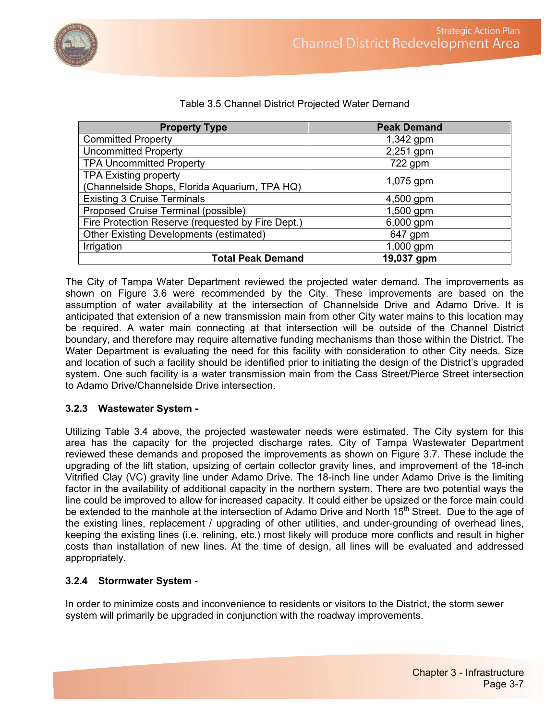

| <b>Property Type</b>                              | <b>Peak Demand</b> |  |  |
|---------------------------------------------------|--------------------|--|--|
| <b>Committed Property</b>                         | $1,342$ gpm        |  |  |
| <b>Uncommitted Property</b>                       | 2,251 gpm          |  |  |
| <b>TPA Uncommitted Property</b>                   | 722 gpm            |  |  |
| <b>TPA Existing property</b>                      |                    |  |  |
| (Channelside Shops, Florida Aquarium, TPA HQ)     | 1,075 gpm          |  |  |
| <b>Existing 3 Cruise Terminals</b>                | 4,500 gpm          |  |  |
| Proposed Cruise Terminal (possible)               | 1,500 gpm          |  |  |
| Fire Protection Reserve (requested by Fire Dept.) | 6,000 gpm          |  |  |
| <b>Other Existing Developments (estimated)</b>    | 647 gpm            |  |  |
| Irrigation                                        | 1,000 gpm          |  |  |
| <b>Total Peak Demand</b>                          | 19,037 gpm         |  |  |

### Table 3.5 Channel District Projected Water Demand

The City of Tampa Water Department reviewed the projected water demand. The improvements as shown on Figure 3.6 were recommended by the City. These improvements are based on the assumption of water availability at the intersection of Channelside Drive and Adamo Drive. It is anticipated that extension of a new transmission main from other City water mains to this location may be required. A water main connecting at that intersection will be outside of the Channel District boundary, and therefore may require alternative funding mechanisms than those within the District. The Water Department is evaluating the need for this facility with consideration to other City needs. Size and location of such a facility should be identified prior to initiating the design of the District's upgraded system. One such facility is a water transmission main from the Cass Street/Pierce Street intersection to Adamo Drive/Channelside Drive intersection.

#### **3.2.3 Wastewater System -**

Utilizing Table 3.4 above, the projected wastewater needs were estimated. The City system for this area has the capacity for the projected discharge rates. City of Tampa Wastewater Department reviewed these demands and proposed the improvements as shown on Figure 3.7. These include the upgrading of the lift station, upsizing of certain collector gravity lines, and improvement of the 18-inch Vitrified Clay (VC) gravity line under Adamo Drive. The 18-inch line under Adamo Drive is the limiting factor in the availability of additional capacity in the northern system. There are two potential ways the line could be improved to allow for increased capacity. It could either be upsized or the force main could be extended to the manhole at the intersection of Adamo Drive and North 15<sup>th</sup> Street. Due to the age of the existing lines, replacement / upgrading of other utilities, and under-grounding of overhead lines, keeping the existing lines (i.e. relining, etc.) most likely will produce more conflicts and result in higher costs than installation of new lines. At the time of design, all lines will be evaluated and addressed appropriately.

# **3.2.4 Stormwater System -**

In order to minimize costs and inconvenience to residents or visitors to the District, the storm sewer system will primarily be upgraded in conjunction with the roadway improvements.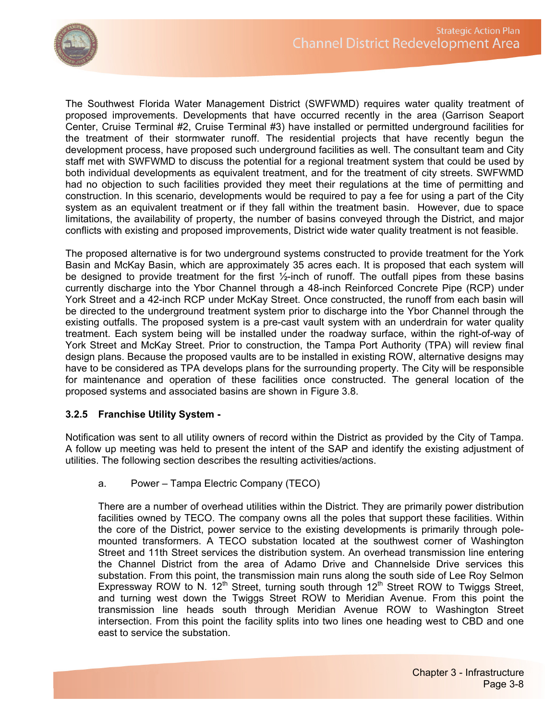

The Southwest Florida Water Management District (SWFWMD) requires water quality treatment of proposed improvements. Developments that have occurred recently in the area (Garrison Seaport Center, Cruise Terminal #2, Cruise Terminal #3) have installed or permitted underground facilities for the treatment of their stormwater runoff. The residential projects that have recently begun the development process, have proposed such underground facilities as well. The consultant team and City staff met with SWFWMD to discuss the potential for a regional treatment system that could be used by both individual developments as equivalent treatment, and for the treatment of city streets. SWFWMD had no objection to such facilities provided they meet their regulations at the time of permitting and construction. In this scenario, developments would be required to pay a fee for using a part of the City system as an equivalent treatment or if they fall within the treatment basin. However, due to space limitations, the availability of property, the number of basins conveyed through the District, and major conflicts with existing and proposed improvements, District wide water quality treatment is not feasible.

The proposed alternative is for two underground systems constructed to provide treatment for the York Basin and McKay Basin, which are approximately 35 acres each. It is proposed that each system will be designed to provide treatment for the first ½-inch of runoff. The outfall pipes from these basins currently discharge into the Ybor Channel through a 48-inch Reinforced Concrete Pipe (RCP) under York Street and a 42-inch RCP under McKay Street. Once constructed, the runoff from each basin will be directed to the underground treatment system prior to discharge into the Ybor Channel through the existing outfalls. The proposed system is a pre-cast vault system with an underdrain for water quality treatment. Each system being will be installed under the roadway surface, within the right-of-way of York Street and McKay Street. Prior to construction, the Tampa Port Authority (TPA) will review final design plans. Because the proposed vaults are to be installed in existing ROW, alternative designs may have to be considered as TPA develops plans for the surrounding property. The City will be responsible for maintenance and operation of these facilities once constructed. The general location of the proposed systems and associated basins are shown in Figure 3.8.

#### **3.2.5 Franchise Utility System -**

Notification was sent to all utility owners of record within the District as provided by the City of Tampa. A follow up meeting was held to present the intent of the SAP and identify the existing adjustment of utilities. The following section describes the resulting activities/actions.

a. Power – Tampa Electric Company (TECO)

There are a number of overhead utilities within the District. They are primarily power distribution facilities owned by TECO. The company owns all the poles that support these facilities. Within the core of the District, power service to the existing developments is primarily through polemounted transformers. A TECO substation located at the southwest corner of Washington Street and 11th Street services the distribution system. An overhead transmission line entering the Channel District from the area of Adamo Drive and Channelside Drive services this substation. From this point, the transmission main runs along the south side of Lee Roy Selmon Expressway ROW to N. 12<sup>th</sup> Street, turning south through  $12<sup>th</sup>$  Street ROW to Twiggs Street, and turning west down the Twiggs Street ROW to Meridian Avenue. From this point the transmission line heads south through Meridian Avenue ROW to Washington Street intersection. From this point the facility splits into two lines one heading west to CBD and one east to service the substation.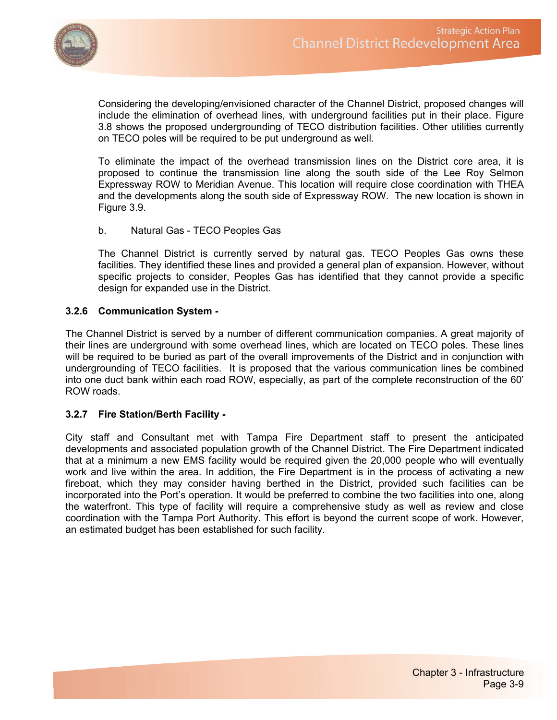

Considering the developing/envisioned character of the Channel District, proposed changes will include the elimination of overhead lines, with underground facilities put in their place. Figure 3.8 shows the proposed undergrounding of TECO distribution facilities. Other utilities currently on TECO poles will be required to be put underground as well.

To eliminate the impact of the overhead transmission lines on the District core area, it is proposed to continue the transmission line along the south side of the Lee Roy Selmon Expressway ROW to Meridian Avenue. This location will require close coordination with THEA and the developments along the south side of Expressway ROW. The new location is shown in Figure 3.9.

b. Natural Gas - TECO Peoples Gas

The Channel District is currently served by natural gas. TECO Peoples Gas owns these facilities. They identified these lines and provided a general plan of expansion. However, without specific projects to consider, Peoples Gas has identified that they cannot provide a specific design for expanded use in the District.

#### **3.2.6 Communication System -**

The Channel District is served by a number of different communication companies. A great majority of their lines are underground with some overhead lines, which are located on TECO poles. These lines will be required to be buried as part of the overall improvements of the District and in conjunction with undergrounding of TECO facilities. It is proposed that the various communication lines be combined into one duct bank within each road ROW, especially, as part of the complete reconstruction of the 60' ROW roads.

#### **3.2.7 Fire Station/Berth Facility -**

City staff and Consultant met with Tampa Fire Department staff to present the anticipated developments and associated population growth of the Channel District. The Fire Department indicated that at a minimum a new EMS facility would be required given the 20,000 people who will eventually work and live within the area. In addition, the Fire Department is in the process of activating a new fireboat, which they may consider having berthed in the District, provided such facilities can be incorporated into the Port's operation. It would be preferred to combine the two facilities into one, along the waterfront. This type of facility will require a comprehensive study as well as review and close coordination with the Tampa Port Authority. This effort is beyond the current scope of work. However, an estimated budget has been established for such facility.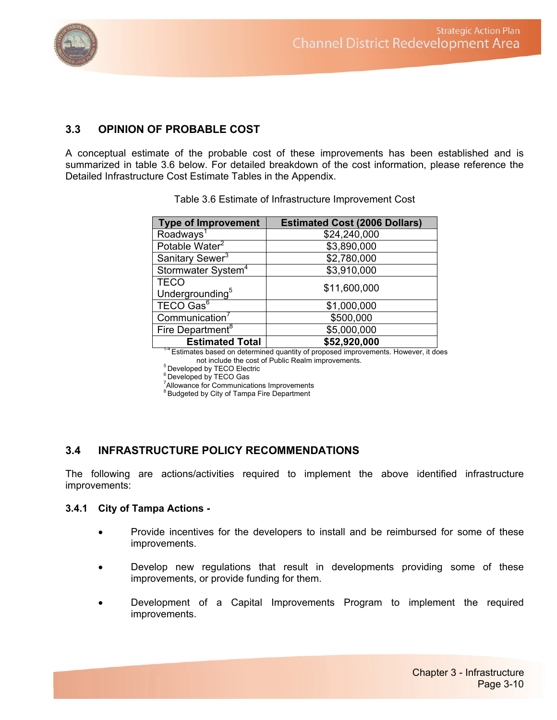

# **3.3 OPINION OF PROBABLE COST**

A conceptual estimate of the probable cost of these improvements has been established and is summarized in table 3.6 below. For detailed breakdown of the cost information, please reference the Detailed Infrastructure Cost Estimate Tables in the Appendix.

| <b>Type of Improvement</b>     | <b>Estimated Cost (2006 Dollars)</b> |
|--------------------------------|--------------------------------------|
| Roadways <sup>1</sup>          | \$24,240,000                         |
| Potable Water <sup>2</sup>     | \$3,890,000                          |
| Sanitary Sewer <sup>3</sup>    | \$2,780,000                          |
| Stormwater System <sup>4</sup> | \$3,910,000                          |
| <b>TECO</b>                    | \$11,600,000                         |
| Undergrounding <sup>5</sup>    |                                      |
| TECO Gas <sup>6</sup>          | \$1,000,000                          |
| Communication <sup>7</sup>     | \$500,000                            |
| Fire Department <sup>8</sup>   | \$5,000,000                          |
| <b>Estimated Total</b><br>- -  | \$52,920,000                         |

Table 3.6 Estimate of Infrastructure Improvement Cost

<sup>14</sup> Estimates based on determined quantity of proposed improvements. However, it does not include the cost of Public Realm improvements.

5 Developed by TECO Electric

6 Developed by TECO Gas

и в село в село в село в село в село в село в село в село в село в село в село в село в село в село в село в<br>27 de marzo — Вилико Вариан, котор на село во село во село во село во село во село во село во село во село во<br>27 <sup>7</sup> Allowance for Communications Improvements

<sup>8</sup> Budgeted by City of Tampa Fire Department

# **3.4 INFRASTRUCTURE POLICY RECOMMENDATIONS**

The following are actions/activities required to implement the above identified infrastructure improvements:

#### **3.4.1 City of Tampa Actions -**

- Provide incentives for the developers to install and be reimbursed for some of these improvements.
- Develop new regulations that result in developments providing some of these improvements, or provide funding for them.
- Development of a Capital Improvements Program to implement the required improvements.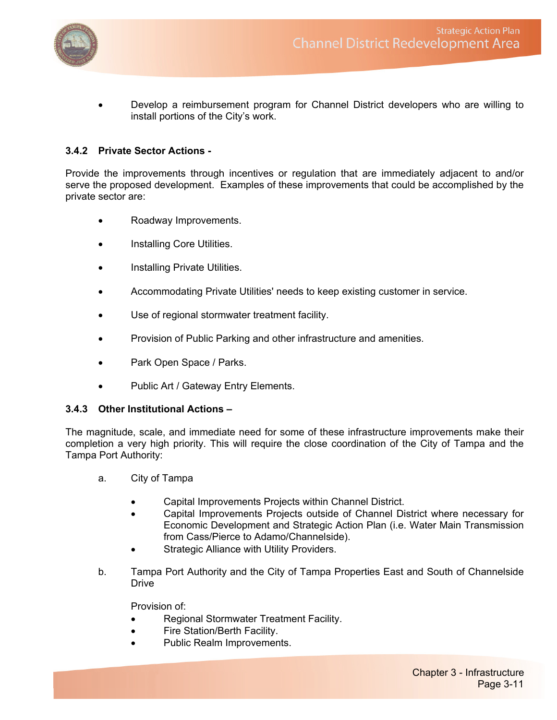

• Develop a reimbursement program for Channel District developers who are willing to install portions of the City's work.

#### **3.4.2 Private Sector Actions -**

Provide the improvements through incentives or regulation that are immediately adjacent to and/or serve the proposed development. Examples of these improvements that could be accomplished by the private sector are:

- Roadway Improvements.
- Installing Core Utilities.
- Installing Private Utilities.
- Accommodating Private Utilities' needs to keep existing customer in service.
- Use of regional stormwater treatment facility.
- Provision of Public Parking and other infrastructure and amenities.
- Park Open Space / Parks.
- Public Art / Gateway Entry Elements.

#### **3.4.3 Other Institutional Actions –**

The magnitude, scale, and immediate need for some of these infrastructure improvements make their completion a very high priority. This will require the close coordination of the City of Tampa and the Tampa Port Authority:

- a. City of Tampa
	- Capital Improvements Projects within Channel District.
	- Capital Improvements Projects outside of Channel District where necessary for Economic Development and Strategic Action Plan (i.e. Water Main Transmission from Cass/Pierce to Adamo/Channelside).
	- Strategic Alliance with Utility Providers.
- b. Tampa Port Authority and the City of Tampa Properties East and South of Channelside **Drive**

Provision of:

- Regional Stormwater Treatment Facility.
- Fire Station/Berth Facility.
- Public Realm Improvements.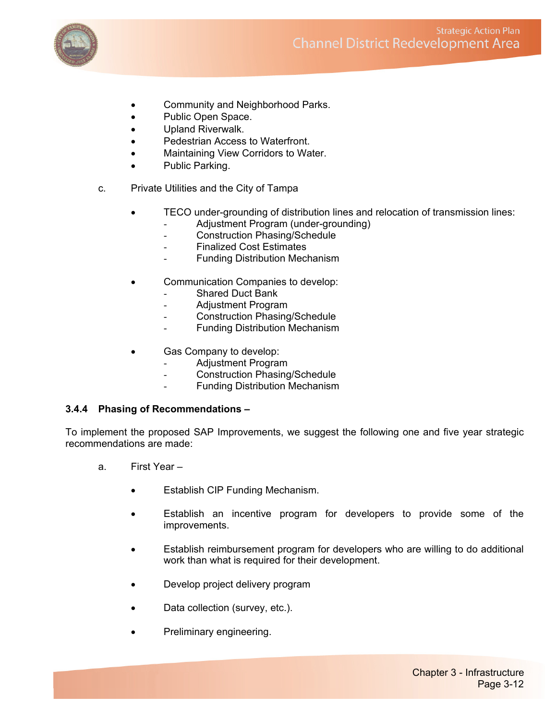

- Community and Neighborhood Parks.
- Public Open Space.
- Upland Riverwalk.
- Pedestrian Access to Waterfront.
- Maintaining View Corridors to Water.
- Public Parking.
- c. Private Utilities and the City of Tampa
	- TECO under-grounding of distribution lines and relocation of transmission lines:
		- Adjustment Program (under-grounding)
		- Construction Phasing/Schedule
		- Finalized Cost Estimates
		- **Funding Distribution Mechanism**
	- Communication Companies to develop:
		- Shared Duct Bank
		- Adjustment Program
		- Construction Phasing/Schedule
		- Funding Distribution Mechanism
	- Gas Company to develop:
		- Adjustment Program
		- Construction Phasing/Schedule
		- Funding Distribution Mechanism

#### **3.4.4 Phasing of Recommendations –**

To implement the proposed SAP Improvements, we suggest the following one and five year strategic recommendations are made:

- a. First Year
	- Establish CIP Funding Mechanism.
	- Establish an incentive program for developers to provide some of the improvements.
	- Establish reimbursement program for developers who are willing to do additional work than what is required for their development.
	- Develop project delivery program
	- Data collection (survey, etc.).
	- Preliminary engineering.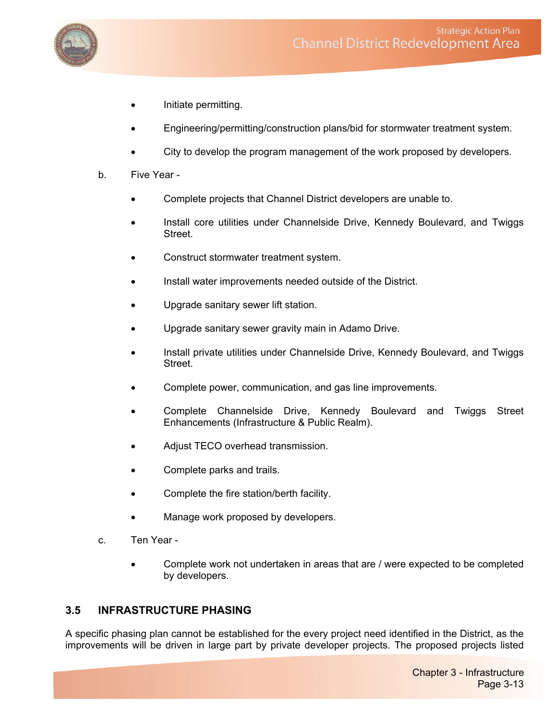

- Initiate permitting.
- Engineering/permitting/construction plans/bid for stormwater treatment system.
- City to develop the program management of the work proposed by developers.
- b. Five Year
	- Complete projects that Channel District developers are unable to.
	- Install core utilities under Channelside Drive, Kennedy Boulevard, and Twiggs Street.
	- Construct stormwater treatment system.
	- Install water improvements needed outside of the District.
	- Upgrade sanitary sewer lift station.
	- Upgrade sanitary sewer gravity main in Adamo Drive.
	- Install private utilities under Channelside Drive, Kennedy Boulevard, and Twiggs **Street**
	- Complete power, communication, and gas line improvements.
	- Complete Channelside Drive, Kennedy Boulevard and Twiggs Street Enhancements (Infrastructure & Public Realm).
	- Adjust TECO overhead transmission.
	- Complete parks and trails.
	- Complete the fire station/berth facility.
	- Manage work proposed by developers.
- c. Ten Year
	- Complete work not undertaken in areas that are / were expected to be completed by developers.

# **3.5 INFRASTRUCTURE PHASING**

A specific phasing plan cannot be established for the every project need identified in the District, as the improvements will be driven in large part by private developer projects. The proposed projects listed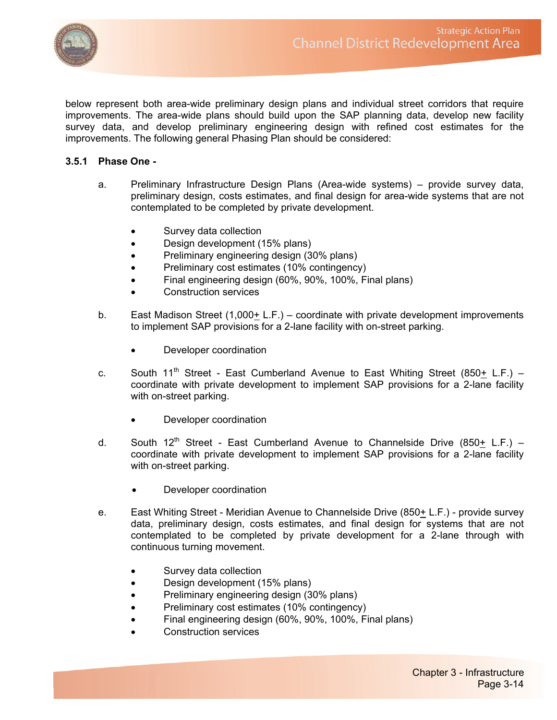

below represent both area-wide preliminary design plans and individual street corridors that require improvements. The area-wide plans should build upon the SAP planning data, develop new facility survey data, and develop preliminary engineering design with refined cost estimates for the improvements. The following general Phasing Plan should be considered:

#### **3.5.1 Phase One -**

- a. Preliminary Infrastructure Design Plans (Area-wide systems) provide survey data, preliminary design, costs estimates, and final design for area-wide systems that are not contemplated to be completed by private development.
	- Survey data collection
	- Design development (15% plans)
	- Preliminary engineering design (30% plans)
	- Preliminary cost estimates (10% contingency)
	- Final engineering design (60%, 90%, 100%, Final plans)
	- Construction services
- b. East Madison Street  $(1,000+ L.F.)$  coordinate with private development improvements to implement SAP provisions for a 2-lane facility with on-street parking.
	- Developer coordination
- c. South 11<sup>th</sup> Street East Cumberland Avenue to East Whiting Street (850+ L.F.) coordinate with private development to implement SAP provisions for a 2-lane facility with on-street parking.
	- Developer coordination
- d. South  $12^{th}$  Street East Cumberland Avenue to Channelside Drive (850+ L.F.) coordinate with private development to implement SAP provisions for a 2-lane facility with on-street parking.
	- Developer coordination
- e. East Whiting Street Meridian Avenue to Channelside Drive (850+ L.F.) provide survey data, preliminary design, costs estimates, and final design for systems that are not contemplated to be completed by private development for a 2-lane through with continuous turning movement.
	- Survey data collection
	- Design development (15% plans)
	- Preliminary engineering design (30% plans)
	- Preliminary cost estimates (10% contingency)
	- Final engineering design (60%, 90%, 100%, Final plans)
	- Construction services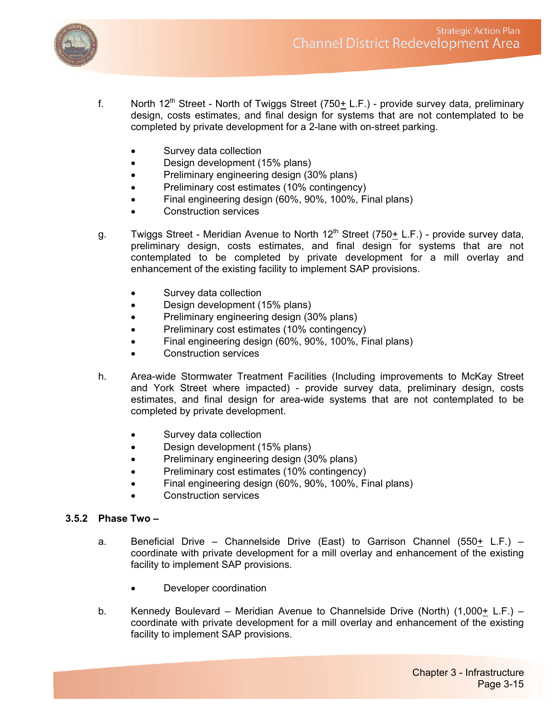

- f. North 12<sup>th</sup> Street North of Twiggs Street (750 $\pm$  L.F.) provide survey data, preliminary design, costs estimates, and final design for systems that are not contemplated to be completed by private development for a 2-lane with on-street parking.
	- Survey data collection
	- Design development (15% plans)
	- Preliminary engineering design (30% plans)
	- Preliminary cost estimates (10% contingency)
	- Final engineering design (60%, 90%, 100%, Final plans)
	- Construction services
- g. Twiggs Street Meridian Avenue to North  $12^{th}$  Street (750 $\pm$  L.F.) provide survey data, preliminary design, costs estimates, and final design for systems that are not contemplated to be completed by private development for a mill overlay and enhancement of the existing facility to implement SAP provisions.
	- Survey data collection
	- Design development (15% plans)
	- Preliminary engineering design (30% plans)
	- Preliminary cost estimates (10% contingency)
	- Final engineering design (60%, 90%, 100%, Final plans)
	- Construction services
- h. Area-wide Stormwater Treatment Facilities (Including improvements to McKay Street and York Street where impacted) - provide survey data, preliminary design, costs estimates, and final design for area-wide systems that are not contemplated to be completed by private development.
	- Survey data collection
	- Design development (15% plans)
	- Preliminary engineering design (30% plans)
	- Preliminary cost estimates (10% contingency)
	- Final engineering design (60%, 90%, 100%, Final plans)
	- Construction services

# **3.5.2 Phase Two –**

- a. Beneficial Drive Channelside Drive (East) to Garrison Channel (550+ L.F.) coordinate with private development for a mill overlay and enhancement of the existing facility to implement SAP provisions.
	- Developer coordination
- b. Kennedy Boulevard Meridian Avenue to Channelside Drive (North) (1,000+ L.F.) coordinate with private development for a mill overlay and enhancement of the existing facility to implement SAP provisions.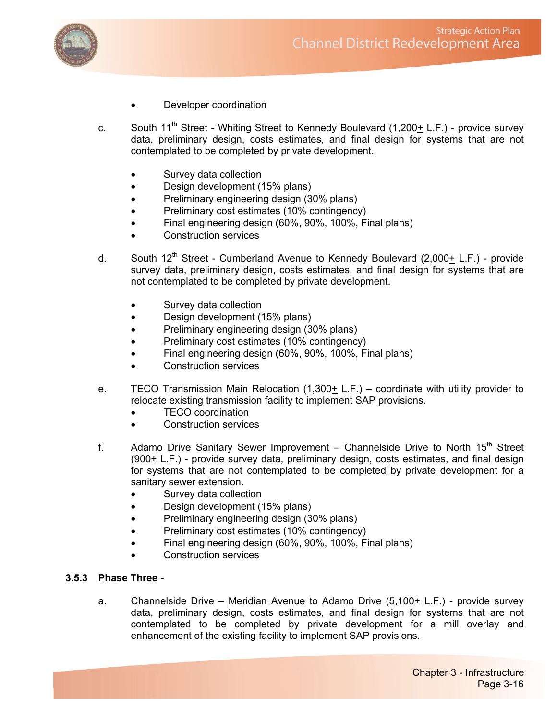

- Developer coordination
- c. South  $11^{th}$  Street Whiting Street to Kennedy Boulevard (1,200+ L.F.) provide survey data, preliminary design, costs estimates, and final design for systems that are not contemplated to be completed by private development.
	- Survey data collection
	- Design development (15% plans)
	- Preliminary engineering design (30% plans)
	- Preliminary cost estimates (10% contingency)
	- Final engineering design (60%, 90%, 100%, Final plans)
	- Construction services
- d. South  $12^{th}$  Street Cumberland Avenue to Kennedy Boulevard  $(2,000+ L.F.)$  provide survey data, preliminary design, costs estimates, and final design for systems that are not contemplated to be completed by private development.
	- Survey data collection
	- Design development (15% plans)
	- Preliminary engineering design (30% plans)
	- Preliminary cost estimates (10% contingency)
	- Final engineering design (60%, 90%, 100%, Final plans)
	- Construction services
- e. TECO Transmission Main Relocation  $(1,300+ L.F.)$  coordinate with utility provider to relocate existing transmission facility to implement SAP provisions.
	- TECO coordination
	- Construction services
- f. Adamo Drive Sanitary Sewer Improvement Channelside Drive to North  $15<sup>th</sup>$  Street  $(900<sub>±</sub> L.F.)$  - provide survey data, preliminary design, costs estimates, and final design for systems that are not contemplated to be completed by private development for a sanitary sewer extension.
	- Survey data collection
	- Design development (15% plans)
	- Preliminary engineering design (30% plans)
	- Preliminary cost estimates (10% contingency)
	- Final engineering design (60%, 90%, 100%, Final plans)
	- Construction services

# **3.5.3 Phase Three -**

a. Channelside Drive – Meridian Avenue to Adamo Drive (5,100+ L.F.) - provide survey data, preliminary design, costs estimates, and final design for systems that are not contemplated to be completed by private development for a mill overlay and enhancement of the existing facility to implement SAP provisions.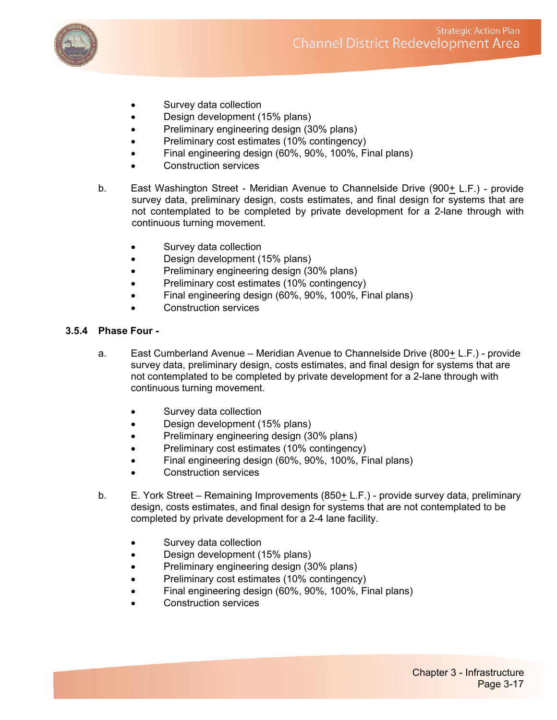

- Survey data collection
- Design development (15% plans)
- Preliminary engineering design (30% plans)
- Preliminary cost estimates (10% contingency)
- Final engineering design (60%, 90%, 100%, Final plans)
- Construction services
- b. East Washington Street Meridian Avenue to Channelside Drive  $(900 + L.F.)$  provide survey data, preliminary design, costs estimates, and final design for systems that are not contemplated to be completed by private development for a 2-lane through with continuous turning movement.
	- Survey data collection
	- Design development (15% plans)
	- Preliminary engineering design (30% plans)
	- Preliminary cost estimates (10% contingency)
	- Final engineering design (60%, 90%, 100%, Final plans)
	- Construction services

#### **3.5.4 Phase Four -**

- a. East Cumberland Avenue Meridian Avenue to Channelside Drive (800+ L.F.) provide survey data, preliminary design, costs estimates, and final design for systems that are not contemplated to be completed by private development for a 2-lane through with continuous turning movement.
	- Survey data collection
	- Design development (15% plans)
	- Preliminary engineering design (30% plans)
	- Preliminary cost estimates (10% contingency)
	- Final engineering design (60%, 90%, 100%, Final plans)
	- Construction services
- b. E. York Street Remaining Improvements (850+ L.F.) provide survey data, preliminary design, costs estimates, and final design for systems that are not contemplated to be completed by private development for a 2-4 lane facility.
	- Survey data collection
	- Design development (15% plans)
	- Preliminary engineering design (30% plans)
	- Preliminary cost estimates (10% contingency)
	- Final engineering design (60%, 90%, 100%, Final plans)
	- Construction services